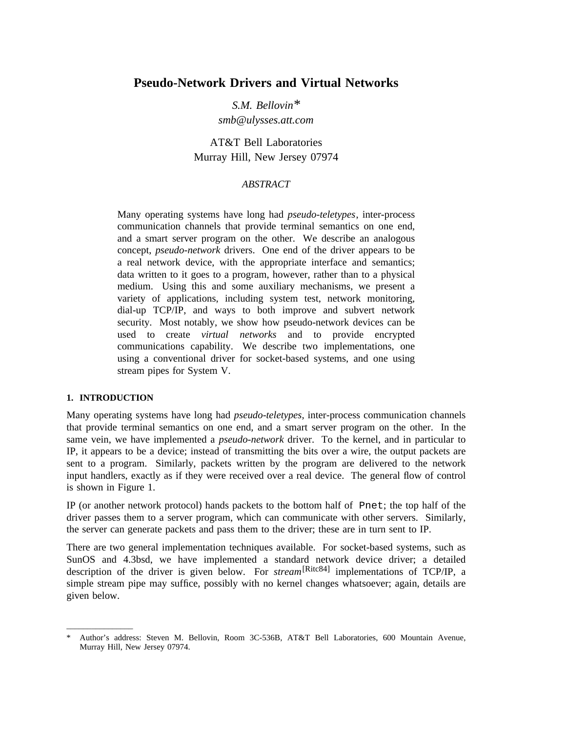# **Pseudo-Network Drivers and Virtual Networks**

*S.M. Bellovin\* smb*@*ulysses.att.com*

AT&T Bell Laboratories Murray Hill, New Jersey 07974

## *ABSTRACT*

Many operating systems have long had *pseudo-teletypes*, inter-process communication channels that provide terminal semantics on one end, and a smart server program on the other. We describe an analogous concept, *pseudo-network* drivers. One end of the driver appears to be a real network device, with the appropriate interface and semantics; data written to it goes to a program, however, rather than to a physical medium. Using this and some auxiliary mechanisms, we present a variety of applications, including system test, network monitoring, dial-up TCP/IP, and ways to both improve and subvert network security. Most notably, we show how pseudo-network devices can be used to create *virtual networks* and to provide encrypted communications capability. We describe two implementations, one using a conventional driver for socket-based systems, and one using stream pipes for System V.

### **1. INTRODUCTION**

\_\_\_\_\_\_\_\_\_\_\_\_\_\_\_\_

Many operating systems have long had *pseudo-teletypes,* inter-process communication channels that provide terminal semantics on one end, and a smart server program on the other. In the same vein, we have implemented a *pseudo-network* driver. To the kernel, and in particular to IP, it appears to be a device; instead of transmitting the bits over a wire, the output packets are sent to a program. Similarly, packets written by the program are delivered to the network input handlers, exactly as if they were received over a real device. The general flow of control is shown in Figure 1.

IP (or another network protocol) hands packets to the bottom half of Pnet; the top half of the driver passes them to a server program, which can communicate with other servers. Similarly, the server can generate packets and pass them to the driver; these are in turn sent to IP.

There are two general implementation techniques available. For socket-based systems, such as SunOS and 4.3bsd, we have implemented a standard network device driver; a detailed description of the driver is given below. For *stream*[Ritc84] implementations of TCP/IP, a simple stream pipe may suffice, possibly with no kernel changes whatsoever; again, details are given below.

<sup>\*</sup> Author's address: Steven M. Bellovin, Room 3C-536B, AT&T Bell Laboratories, 600 Mountain Avenue, Murray Hill, New Jersey 07974.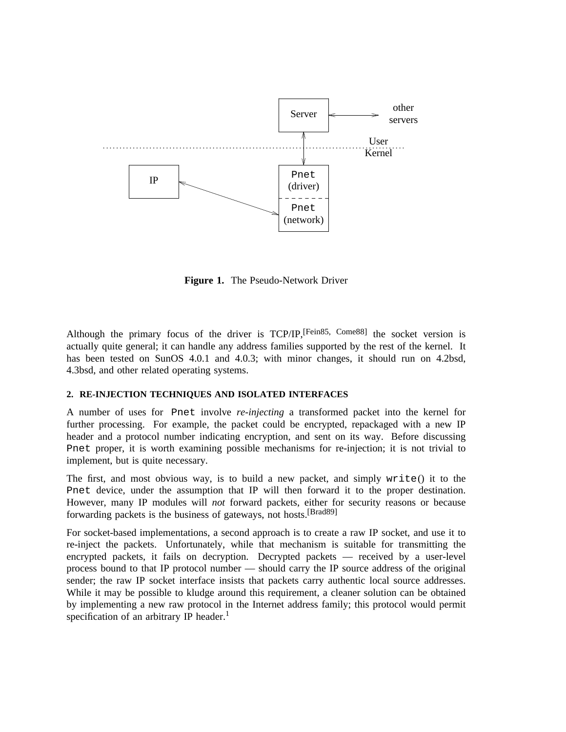

**Figure 1.** The Pseudo-Network Driver

Although the primary focus of the driver is TCP/IP,[Fein85, Come88] the socket version is actually quite general; it can handle any address families supported by the rest of the kernel. It has been tested on SunOS 4.0.1 and 4.0.3; with minor changes, it should run on 4.2bsd, 4.3bsd, and other related operating systems.

#### **2. RE-INJECTION TECHNIQUES AND ISOLATED INTERFACES**

A number of uses for Pnet involve *re-injecting* a transformed packet into the kernel for further processing. For example, the packet could be encrypted, repackaged with a new IP header and a protocol number indicating encryption, and sent on its way. Before discussing Pnet proper, it is worth examining possible mechanisms for re-injection; it is not trivial to implement, but is quite necessary.

The first, and most obvious way, is to build a new packet, and simply write() it to the Pnet device, under the assumption that IP will then forward it to the proper destination. However, many IP modules will *not* forward packets, either for security reasons or because forwarding packets is the business of gateways, not hosts.[Brad89]

For socket-based implementations, a second approach is to create a raw IP socket, and use it to re-inject the packets. Unfortunately, while that mechanism is suitable for transmitting the encrypted packets, it fails on decryption. Decrypted packets — received by a user-level process bound to that IP protocol number — should carry the IP source address of the original sender; the raw IP socket interface insists that packets carry authentic local source addresses. While it may be possible to kludge around this requirement, a cleaner solution can be obtained by implementing a new raw protocol in the Internet address family; this protocol would permit specification of an arbitrary IP header.<sup>1</sup>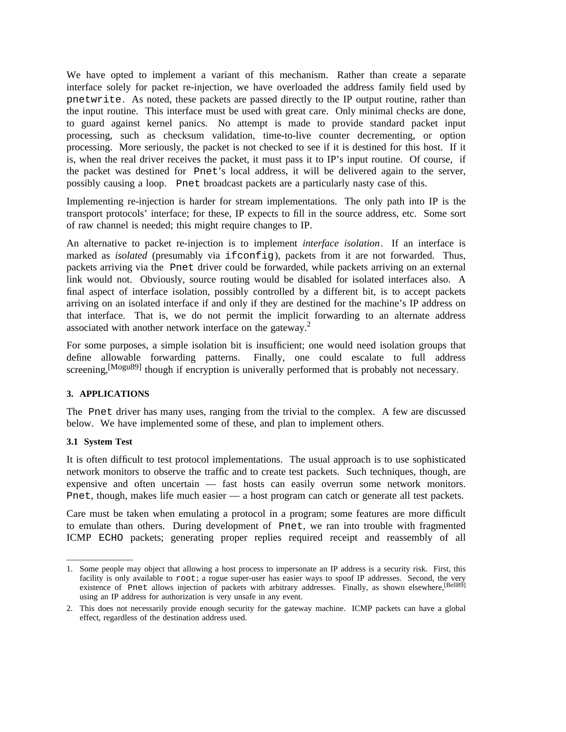We have opted to implement a variant of this mechanism. Rather than create a separate interface solely for packet re-injection, we have overloaded the address family field used by pnetwrite. As noted, these packets are passed directly to the IP output routine, rather than the input routine. This interface must be used with great care. Only minimal checks are done, to guard against kernel panics. No attempt is made to provide standard packet input processing, such as checksum validation, time-to-live counter decrementing, or option processing. More seriously, the packet is not checked to see if it is destined for this host. If it is, when the real driver receives the packet, it must pass it to IP's input routine. Of course, if the packet was destined for Pnet's local address, it will be delivered again to the server, possibly causing a loop. Pnet broadcast packets are a particularly nasty case of this.

Implementing re-injection is harder for stream implementations. The only path into IP is the transport protocols' interface; for these, IP expects to fill in the source address, etc. Some sort of raw channel is needed; this might require changes to IP.

An alternative to packet re-injection is to implement *interface isolation*. If an interface is marked as *isolated* (presumably via if config), packets from it are not forwarded. Thus, packets arriving via the Pnet driver could be forwarded, while packets arriving on an external link would not. Obviously, source routing would be disabled for isolated interfaces also. A final aspect of interface isolation, possibly controlled by a different bit, is to accept packets arriving on an isolated interface if and only if they are destined for the machine's IP address on that interface. That is, we do not permit the implicit forwarding to an alternate address associated with another network interface on the gateway.<sup>2</sup>

For some purposes, a simple isolation bit is insufficient; one would need isolation groups that define allowable forwarding patterns. Finally, one could escalate to full address screening,<sup>[Mogu89]</sup> though if encryption is univerally performed that is probably not necessary.

### **3. APPLICATIONS**

The Pnet driver has many uses, ranging from the trivial to the complex. A few are discussed below. We have implemented some of these, and plan to implement others.

### **3.1 System Test**

\_\_\_\_\_\_\_\_\_\_\_\_\_\_\_\_

It is often difficult to test protocol implementations. The usual approach is to use sophisticated network monitors to observe the traffic and to create test packets. Such techniques, though, are expensive and often uncertain — fast hosts can easily overrun some network monitors. Pnet, though, makes life much easier — a host program can catch or generate all test packets.

Care must be taken when emulating a protocol in a program; some features are more difficult to emulate than others. During development of Pnet, we ran into trouble with fragmented ICMP ECHO packets; generating proper replies required receipt and reassembly of all

<sup>1.</sup> Some people may object that allowing a host process to impersonate an IP address is a security risk. First, this facility is only available to root; a rogue super-user has easier ways to spoof IP addresses. Second, the very existence of Pnet allows injection of packets with arbitrary addresses. Finally, as shown elsewhere, <sup>[Bell89]</sup> using an IP address for authorization is very unsafe in any event.

<sup>2.</sup> This does not necessarily provide enough security for the gateway machine. ICMP packets can have a global effect, regardless of the destination address used.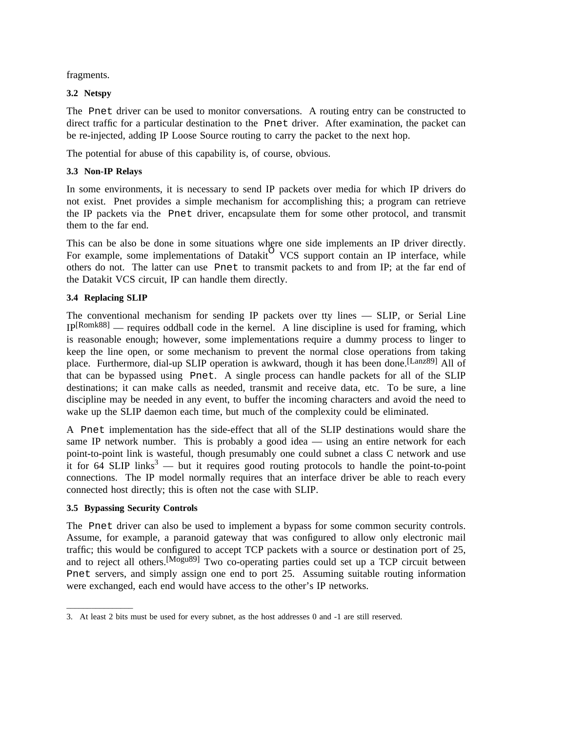fragments.

## **3.2 Netspy**

The Pnet driver can be used to monitor conversations. A routing entry can be constructed to direct traffic for a particular destination to the Pnet driver. After examination, the packet can be re-injected, adding IP Loose Source routing to carry the packet to the next hop.

The potential for abuse of this capability is, of course, obvious.

## **3.3 Non-IP Relays**

In some environments, it is necessary to send IP packets over media for which IP drivers do not exist. Pnet provides a simple mechanism for accomplishing this; a program can retrieve the IP packets via the Pnet driver, encapsulate them for some other protocol, and transmit them to the far end.

This can be also be done in some situations where one side implements an IP driver directly. For example, some implementations of Datakit VCS support contain an IP interface, while others do not. The latter can use Pnet to transmit packets to and from IP; at the far end of the Datakit VCS circuit, IP can handle them directly.

## **3.4 Replacing SLIP**

The conventional mechanism for sending IP packets over tty lines — SLIP, or Serial Line IP[Romk88] — requires oddball code in the kernel. A line discipline is used for framing, which is reasonable enough; however, some implementations require a dummy process to linger to keep the line open, or some mechanism to prevent the normal close operations from taking place. Furthermore, dial-up SLIP operation is awkward, though it has been done.<sup>[Lanz89]</sup> All of that can be bypassed using Pnet. A single process can handle packets for all of the SLIP destinations; it can make calls as needed, transmit and receive data, etc. To be sure, a line discipline may be needed in any event, to buffer the incoming characters and avoid the need to wake up the SLIP daemon each time, but much of the complexity could be eliminated.

A Pnet implementation has the side-effect that all of the SLIP destinations would share the same IP network number. This is probably a good idea — using an entire network for each point-to-point link is wasteful, though presumably one could subnet a class C network and use it for 64 SLIP links<sup>3</sup> — but it requires good routing protocols to handle the point-to-point connections. The IP model normally requires that an interface driver be able to reach every connected host directly; this is often not the case with SLIP.

### **3.5 Bypassing Security Controls**

\_\_\_\_\_\_\_\_\_\_\_\_\_\_\_\_

The Pnet driver can also be used to implement a bypass for some common security controls. Assume, for example, a paranoid gateway that was configured to allow only electronic mail traffic; this would be configured to accept TCP packets with a source or destination port of 25, and to reject all others.[Mogu89] Two co-operating parties could set up a TCP circuit between Pnet servers, and simply assign one end to port 25. Assuming suitable routing information were exchanged, each end would have access to the other's IP networks.

<sup>3.</sup> At least 2 bits must be used for every subnet, as the host addresses 0 and -1 are still reserved.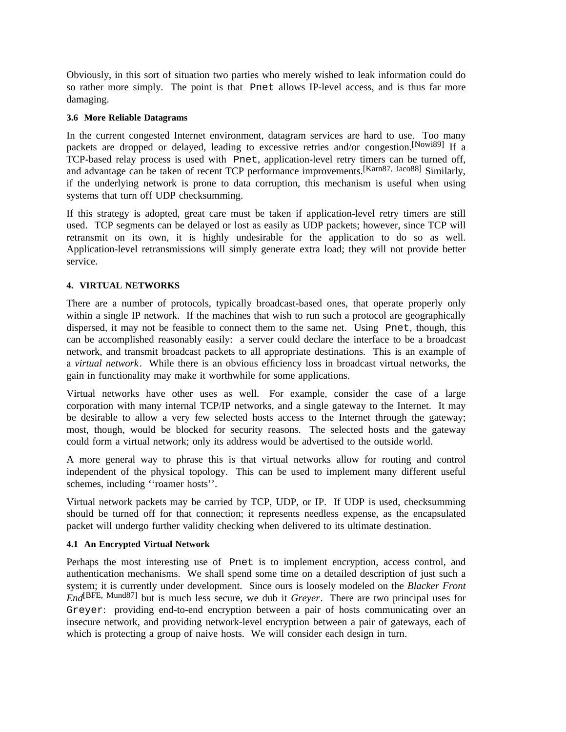Obviously, in this sort of situation two parties who merely wished to leak information could do so rather more simply. The point is that Pnet allows IP-level access, and is thus far more damaging.

#### **3.6 More Reliable Datagrams**

In the current congested Internet environment, datagram services are hard to use. Too many packets are dropped or delayed, leading to excessive retries and/or congestion.[Nowi89] If a TCP-based relay process is used with Pnet, application-level retry timers can be turned off, and advantage can be taken of recent TCP performance improvements.[Karn87, Jaco88] Similarly, if the underlying network is prone to data corruption, this mechanism is useful when using systems that turn off UDP checksumming.

If this strategy is adopted, great care must be taken if application-level retry timers are still used. TCP segments can be delayed or lost as easily as UDP packets; however, since TCP will retransmit on its own, it is highly undesirable for the application to do so as well. Application-level retransmissions will simply generate extra load; they will not provide better service.

#### **4. VIRTUAL NETWORKS**

There are a number of protocols, typically broadcast-based ones, that operate properly only within a single IP network. If the machines that wish to run such a protocol are geographically dispersed, it may not be feasible to connect them to the same net. Using Pnet, though, this can be accomplished reasonably easily: a server could declare the interface to be a broadcast network, and transmit broadcast packets to all appropriate destinations. This is an example of a *virtual network*. While there is an obvious efficiency loss in broadcast virtual networks, the gain in functionality may make it worthwhile for some applications.

Virtual networks have other uses as well. For example, consider the case of a large corporation with many internal TCP/IP networks, and a single gateway to the Internet. It may be desirable to allow a very few selected hosts access to the Internet through the gateway; most, though, would be blocked for security reasons. The selected hosts and the gateway could form a virtual network; only its address would be advertised to the outside world.

A more general way to phrase this is that virtual networks allow for routing and control independent of the physical topology. This can be used to implement many different useful schemes, including ''roamer hosts''.

Virtual network packets may be carried by TCP, UDP, or IP. If UDP is used, checksumming should be turned off for that connection; it represents needless expense, as the encapsulated packet will undergo further validity checking when delivered to its ultimate destination.

#### **4.1 An Encrypted Virtual Network**

Perhaps the most interesting use of Pnet is to implement encryption, access control, and authentication mechanisms. We shall spend some time on a detailed description of just such a system; it is currently under development. Since ours is loosely modeled on the *Blacker Front End*[BFE, Mund87] but is much less secure, we dub it *Greyer*. There are two principal uses for Greyer: providing end-to-end encryption between a pair of hosts communicating over an insecure network, and providing network-level encryption between a pair of gateways, each of which is protecting a group of naive hosts. We will consider each design in turn.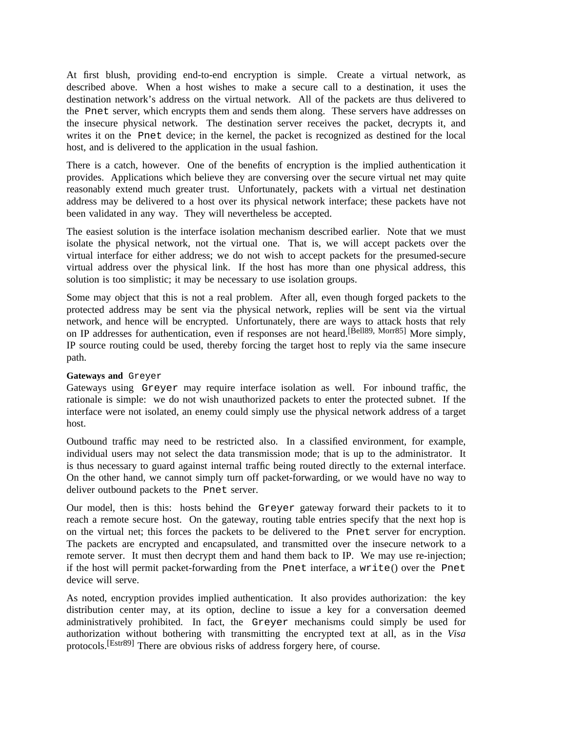At first blush, providing end-to-end encryption is simple. Create a virtual network, as described above. When a host wishes to make a secure call to a destination, it uses the destination network's address on the virtual network. All of the packets are thus delivered to the Pnet server, which encrypts them and sends them along. These servers have addresses on the insecure physical network. The destination server receives the packet, decrypts it, and writes it on the Pnet device; in the kernel, the packet is recognized as destined for the local host, and is delivered to the application in the usual fashion.

There is a catch, however. One of the benefits of encryption is the implied authentication it provides. Applications which believe they are conversing over the secure virtual net may quite reasonably extend much greater trust. Unfortunately, packets with a virtual net destination address may be delivered to a host over its physical network interface; these packets have not been validated in any way. They will nevertheless be accepted.

The easiest solution is the interface isolation mechanism described earlier. Note that we must isolate the physical network, not the virtual one. That is, we will accept packets over the virtual interface for either address; we do not wish to accept packets for the presumed-secure virtual address over the physical link. If the host has more than one physical address, this solution is too simplistic; it may be necessary to use isolation groups.

Some may object that this is not a real problem. After all, even though forged packets to the protected address may be sent via the physical network, replies will be sent via the virtual network, and hence will be encrypted. Unfortunately, there are ways to attack hosts that rely on IP addresses for authentication, even if responses are not heard.<sup>[Bell89, Morr85]</sup> More simply, IP source routing could be used, thereby forcing the target host to reply via the same insecure path.

### **Gateways and** Greyer

Gateways using Greyer may require interface isolation as well. For inbound traffic, the rationale is simple: we do not wish unauthorized packets to enter the protected subnet. If the interface were not isolated, an enemy could simply use the physical network address of a target host.

Outbound traffic may need to be restricted also. In a classified environment, for example, individual users may not select the data transmission mode; that is up to the administrator. It is thus necessary to guard against internal traffic being routed directly to the external interface. On the other hand, we cannot simply turn off packet-forwarding, or we would have no way to deliver outbound packets to the Pnet server.

Our model, then is this: hosts behind the Greyer gateway forward their packets to it to reach a remote secure host. On the gateway, routing table entries specify that the next hop is on the virtual net; this forces the packets to be delivered to the Pnet server for encryption. The packets are encrypted and encapsulated, and transmitted over the insecure network to a remote server. It must then decrypt them and hand them back to IP. We may use re-injection; if the host will permit packet-forwarding from the Pnet interface, a write() over the Pnet device will serve.

As noted, encryption provides implied authentication. It also provides authorization: the key distribution center may, at its option, decline to issue a key for a conversation deemed administratively prohibited. In fact, the Greyer mechanisms could simply be used for authorization without bothering with transmitting the encrypted text at all, as in the *Visa* protocols.[Estr89] There are obvious risks of address forgery here, of course.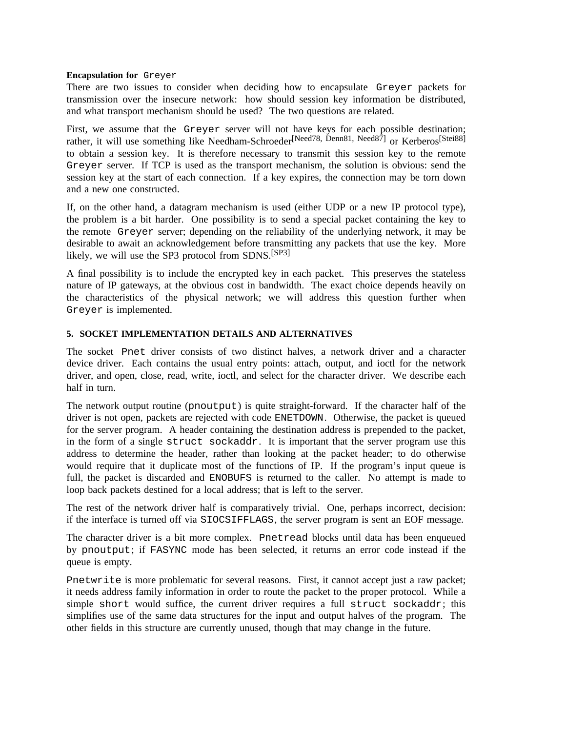#### **Encapsulation for** Greyer

There are two issues to consider when deciding how to encapsulate Greyer packets for transmission over the insecure network: how should session key information be distributed, and what transport mechanism should be used? The two questions are related.

First, we assume that the Greyer server will not have keys for each possible destination; rather, it will use something like Needham-Schroeder<sup>[Need78, Denn81, Need87]</sup> or Kerberos<sup>[Stei88]</sup> to obtain a session key. It is therefore necessary to transmit this session key to the remote Greyer server. If TCP is used as the transport mechanism, the solution is obvious: send the session key at the start of each connection. If a key expires, the connection may be torn down and a new one constructed.

If, on the other hand, a datagram mechanism is used (either UDP or a new IP protocol type), the problem is a bit harder. One possibility is to send a special packet containing the key to the remote Greyer server; depending on the reliability of the underlying network, it may be desirable to await an acknowledgement before transmitting any packets that use the key. More likely, we will use the SP3 protocol from SDNS.[SP3]

A final possibility is to include the encrypted key in each packet. This preserves the stateless nature of IP gateways, at the obvious cost in bandwidth. The exact choice depends heavily on the characteristics of the physical network; we will address this question further when Greyer is implemented.

#### **5. SOCKET IMPLEMENTATION DETAILS AND ALTERNATIVES**

The socket Pnet driver consists of two distinct halves, a network driver and a character device driver. Each contains the usual entry points: attach, output, and ioctl for the network driver, and open, close, read, write, ioctl, and select for the character driver. We describe each half in turn.

The network output routine (pnoutput) is quite straight-forward. If the character half of the driver is not open, packets are rejected with code ENETDOWN. Otherwise, the packet is queued for the server program. A header containing the destination address is prepended to the packet, in the form of a single struct sockaddr. It is important that the server program use this address to determine the header, rather than looking at the packet header; to do otherwise would require that it duplicate most of the functions of IP. If the program's input queue is full, the packet is discarded and ENOBUFS is returned to the caller. No attempt is made to loop back packets destined for a local address; that is left to the server.

The rest of the network driver half is comparatively trivial. One, perhaps incorrect, decision: if the interface is turned off via SIOCSIFFLAGS, the server program is sent an EOF message.

The character driver is a bit more complex. Pnetread blocks until data has been enqueued by pnoutput; if FASYNC mode has been selected, it returns an error code instead if the queue is empty.

Pnetwrite is more problematic for several reasons. First, it cannot accept just a raw packet; it needs address family information in order to route the packet to the proper protocol. While a simple short would suffice, the current driver requires a full struct sockaddr; this simplifies use of the same data structures for the input and output halves of the program. The other fields in this structure are currently unused, though that may change in the future.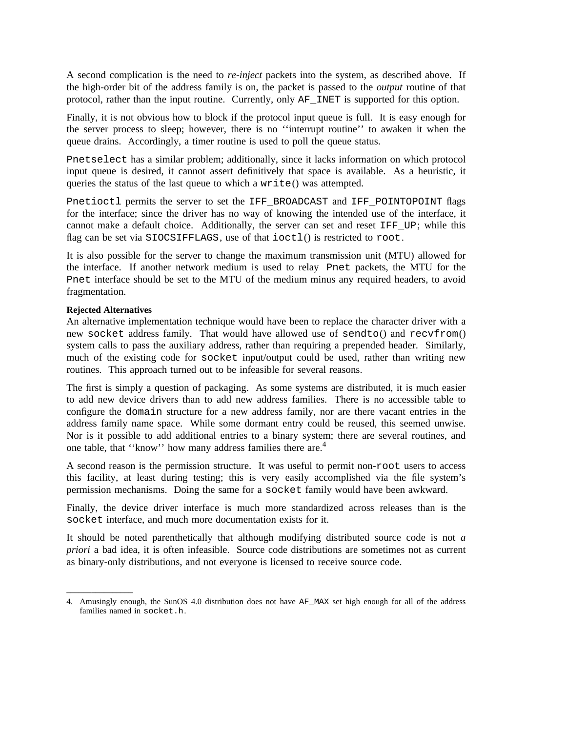A second complication is the need to *re-inject* packets into the system, as described above. If the high-order bit of the address family is on, the packet is passed to the *output* routine of that protocol, rather than the input routine. Currently, only AF\_INET is supported for this option.

Finally, it is not obvious how to block if the protocol input queue is full. It is easy enough for the server process to sleep; however, there is no ''interrupt routine'' to awaken it when the queue drains. Accordingly, a timer routine is used to poll the queue status.

Pnetselect has a similar problem; additionally, since it lacks information on which protocol input queue is desired, it cannot assert definitively that space is available. As a heuristic, it queries the status of the last queue to which a write() was attempted.

Pnetioctl permits the server to set the IFF\_BROADCAST and IFF\_POINTOPOINT flags for the interface; since the driver has no way of knowing the intended use of the interface, it cannot make a default choice. Additionally, the server can set and reset IFF\_UP; while this flag can be set via SIOCSIFFLAGS, use of that ioctl() is restricted to root.

It is also possible for the server to change the maximum transmission unit (MTU) allowed for the interface. If another network medium is used to relay Pnet packets, the MTU for the Pnet interface should be set to the MTU of the medium minus any required headers, to avoid fragmentation.

#### **Rejected Alternatives**

\_\_\_\_\_\_\_\_\_\_\_\_\_\_\_\_

An alternative implementation technique would have been to replace the character driver with a new socket address family. That would have allowed use of sendto() and recvfrom() system calls to pass the auxiliary address, rather than requiring a prepended header. Similarly, much of the existing code for socket input/output could be used, rather than writing new routines. This approach turned out to be infeasible for several reasons.

The first is simply a question of packaging. As some systems are distributed, it is much easier to add new device drivers than to add new address families. There is no accessible table to configure the domain structure for a new address family, nor are there vacant entries in the address family name space. While some dormant entry could be reused, this seemed unwise. Nor is it possible to add additional entries to a binary system; there are several routines, and one table, that ''know'' how many address families there are.<sup>4</sup>

A second reason is the permission structure. It was useful to permit non-root users to access this facility, at least during testing; this is very easily accomplished via the file system's permission mechanisms. Doing the same for a socket family would have been awkward.

Finally, the device driver interface is much more standardized across releases than is the socket interface, and much more documentation exists for it.

It should be noted parenthetically that although modifying distributed source code is not *a priori* a bad idea, it is often infeasible. Source code distributions are sometimes not as current as binary-only distributions, and not everyone is licensed to receive source code.

<sup>4.</sup> Amusingly enough, the SunOS 4.0 distribution does not have AF\_MAX set high enough for all of the address families named in socket.h.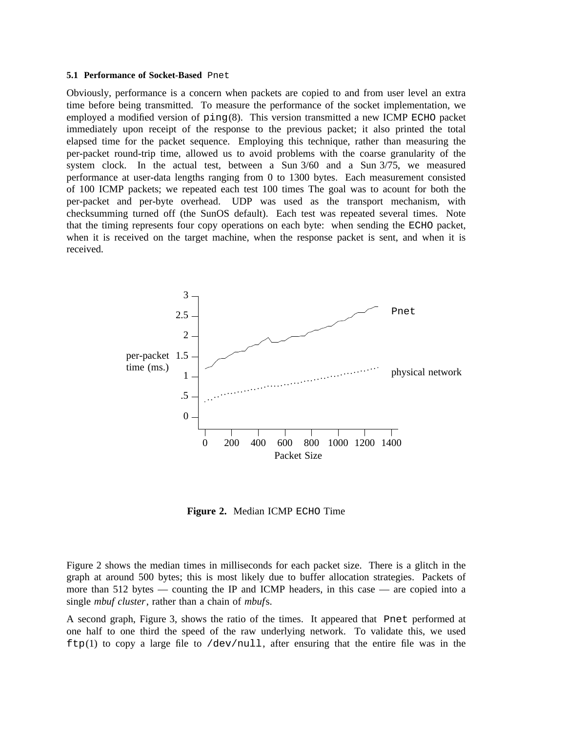#### **5.1 Performance of Socket-Based** Pnet

Obviously, performance is a concern when packets are copied to and from user level an extra time before being transmitted. To measure the performance of the socket implementation, we employed a modified version of ping(8). This version transmitted a new ICMP ECHO packet immediately upon receipt of the response to the previous packet; it also printed the total elapsed time for the packet sequence. Employing this technique, rather than measuring the per-packet round-trip time, allowed us to avoid problems with the coarse granularity of the system clock. In the actual test, between a Sun  $3/60$  and a Sun  $3/75$ , we measured performance at user-data lengths ranging from 0 to 1300 bytes. Each measurement consisted of 100 ICMP packets; we repeated each test 100 times The goal was to acount for both the per-packet and per-byte overhead. UDP was used as the transport mechanism, with checksumming turned off (the SunOS default). Each test was repeated several times. Note that the timing represents four copy operations on each byte: when sending the ECHO packet, when it is received on the target machine, when the response packet is sent, and when it is received.



**Figure 2.** Median ICMP ECHO Time

Figure 2 shows the median times in milliseconds for each packet size. There is a glitch in the graph at around 500 bytes; this is most likely due to buffer allocation strategies. Packets of more than 512 bytes — counting the IP and ICMP headers, in this case — are copied into a single *mbuf cluster*, rather than a chain of *mbuf*s.

A second graph, Figure 3, shows the ratio of the times. It appeared that Pnet performed at one half to one third the speed of the raw underlying network. To validate this, we used  $ftp(1)$  to copy a large file to  $/dev/null$ , after ensuring that the entire file was in the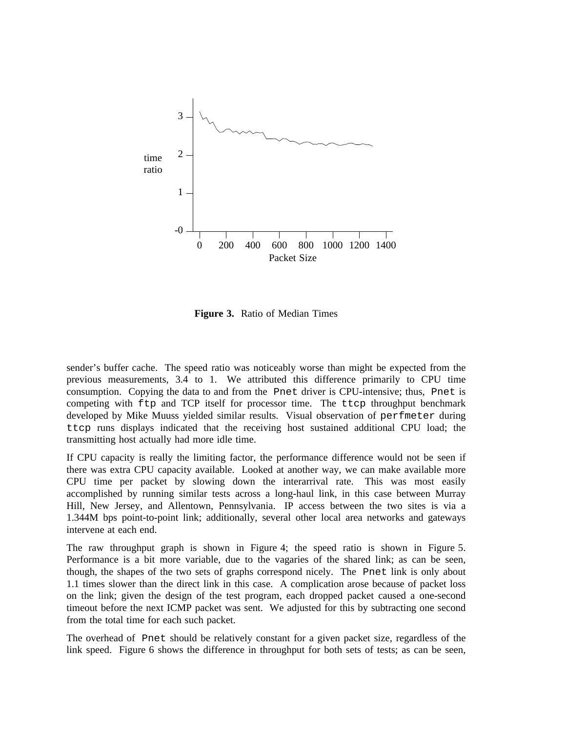

**Figure 3.** Ratio of Median Times

sender's buffer cache. The speed ratio was noticeably worse than might be expected from the previous measurements, 3.4 to 1. We attributed this difference primarily to CPU time consumption. Copying the data to and from the Pnet driver is CPU-intensive; thus, Pnet is competing with ftp and TCP itself for processor time. The ttcp throughput benchmark developed by Mike Muuss yielded similar results. Visual observation of perfmeter during ttcp runs displays indicated that the receiving host sustained additional CPU load; the transmitting host actually had more idle time.

If CPU capacity is really the limiting factor, the performance difference would not be seen if there was extra CPU capacity available. Looked at another way, we can make available more CPU time per packet by slowing down the interarrival rate. This was most easily accomplished by running similar tests across a long-haul link, in this case between Murray Hill, New Jersey, and Allentown, Pennsylvania. IP access between the two sites is via a 1.344M bps point-to-point link; additionally, several other local area networks and gateways intervene at each end.

The raw throughput graph is shown in Figure 4; the speed ratio is shown in Figure 5. Performance is a bit more variable, due to the vagaries of the shared link; as can be seen, though, the shapes of the two sets of graphs correspond nicely. The Pnet link is only about 1.1 times slower than the direct link in this case. A complication arose because of packet loss on the link; given the design of the test program, each dropped packet caused a one-second timeout before the next ICMP packet was sent. We adjusted for this by subtracting one second from the total time for each such packet.

The overhead of Pnet should be relatively constant for a given packet size, regardless of the link speed. Figure 6 shows the difference in throughput for both sets of tests; as can be seen,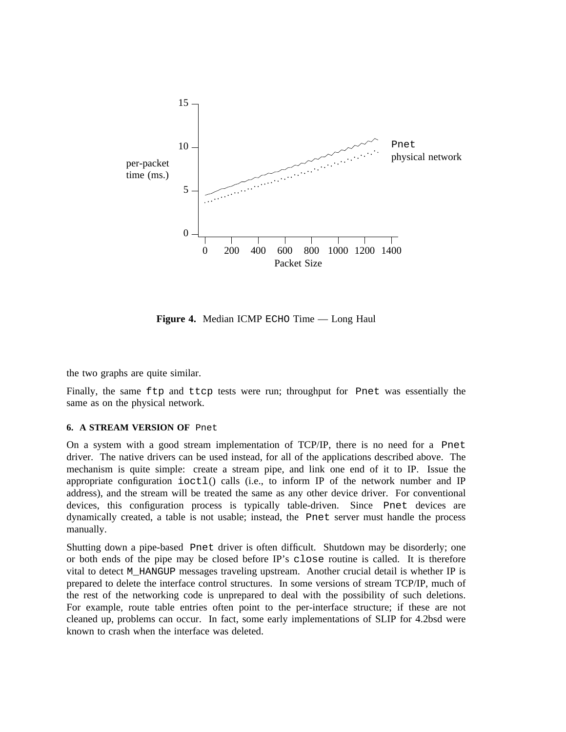

**Figure 4.** Median ICMP ECHO Time — Long Haul

the two graphs are quite similar.

Finally, the same ftp and ttcp tests were run; throughput for Pnet was essentially the same as on the physical network.

#### **6. A STREAM VERSION OF** Pnet

On a system with a good stream implementation of TCP/IP, there is no need for a Pnet driver. The native drivers can be used instead, for all of the applications described above. The mechanism is quite simple: create a stream pipe, and link one end of it to IP. Issue the appropriate configuration ioctl() calls (i.e., to inform IP of the network number and IP address), and the stream will be treated the same as any other device driver. For conventional devices, this configuration process is typically table-driven. Since Pnet devices are dynamically created, a table is not usable; instead, the Pnet server must handle the process manually.

Shutting down a pipe-based Pnet driver is often difficult. Shutdown may be disorderly; one or both ends of the pipe may be closed before IP's close routine is called. It is therefore vital to detect M\_HANGUP messages traveling upstream. Another crucial detail is whether IP is prepared to delete the interface control structures. In some versions of stream TCP/IP, much of the rest of the networking code is unprepared to deal with the possibility of such deletions. For example, route table entries often point to the per-interface structure; if these are not cleaned up, problems can occur. In fact, some early implementations of SLIP for 4.2bsd were known to crash when the interface was deleted.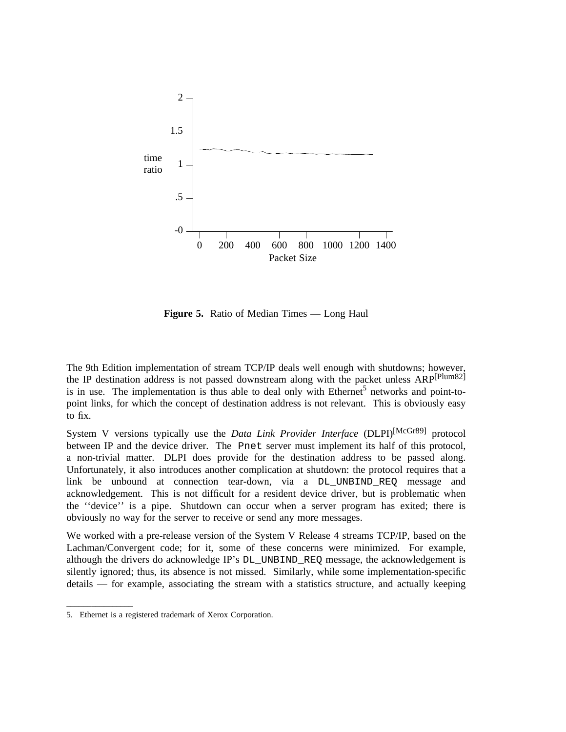

**Figure 5.** Ratio of Median Times — Long Haul

The 9th Edition implementation of stream TCP/IP deals well enough with shutdowns; however, the IP destination address is not passed downstream along with the packet unless ARP<sup>[Plum82]</sup> is in use. The implementation is thus able to deal only with Ethernet<sup>5</sup> networks and point-topoint links, for which the concept of destination address is not relevant. This is obviously easy to fix.

System V versions typically use the *Data Link Provider Interface* (DLPI)[McGr89] protocol between IP and the device driver. The Pnet server must implement its half of this protocol, a non-trivial matter. DLPI does provide for the destination address to be passed along. Unfortunately, it also introduces another complication at shutdown: the protocol requires that a link be unbound at connection tear-down, via a DL\_UNBIND\_REQ message and acknowledgement. This is not difficult for a resident device driver, but is problematic when the ''device'' is a pipe. Shutdown can occur when a server program has exited; there is obviously no way for the server to receive or send any more messages.

We worked with a pre-release version of the System V Release 4 streams TCP/IP, based on the Lachman/Convergent code; for it, some of these concerns were minimized. For example, although the drivers do acknowledge IP's DL\_UNBIND\_REQ message, the acknowledgement is silently ignored; thus, its absence is not missed. Similarly, while some implementation-specific details — for example, associating the stream with a statistics structure, and actually keeping

\_\_\_\_\_\_\_\_\_\_\_\_\_\_\_\_

<sup>5.</sup> Ethernet is a registered trademark of Xerox Corporation.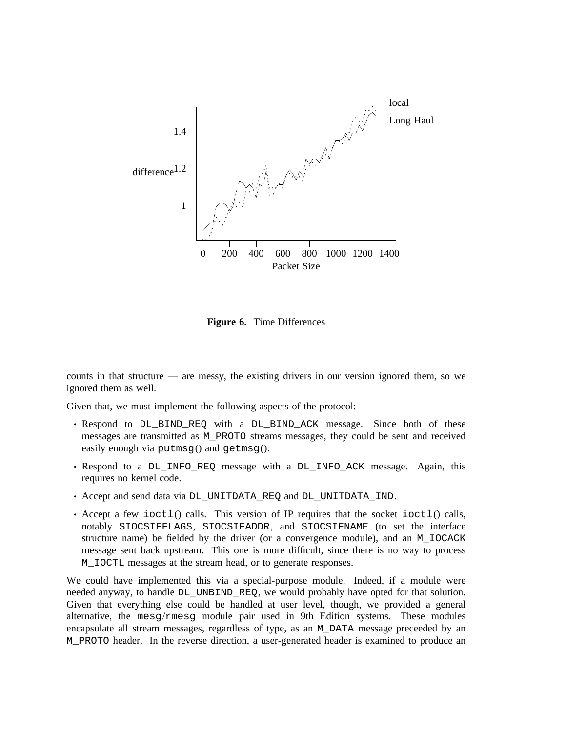

**Figure 6.** Time Differences

counts in that structure — are messy, the existing drivers in our version ignored them, so we ignored them as well.

Given that, we must implement the following aspects of the protocol:

- Respond to DL\_BIND\_REQ with a DL\_BIND\_ACK message. Since both of these messages are transmitted as M\_PROTO streams messages, they could be sent and received easily enough via putmsg() and getmsg().
- Respond to a DL\_INFO\_REQ message with a DL\_INFO\_ACK message. Again, this requires no kernel code.
- Accept and send data via DL\_UNITDATA\_REQ and DL\_UNITDATA\_IND.
- Accept a few ioctl() calls. This version of IP requires that the socket ioctl() calls, notably SIOCSIFFLAGS, SIOCSIFADDR, and SIOCSIFNAME (to set the interface structure name) be fielded by the driver (or a convergence module), and an M\_IOCACK message sent back upstream. This one is more difficult, since there is no way to process M\_IOCTL messages at the stream head, or to generate responses.

We could have implemented this via a special-purpose module. Indeed, if a module were needed anyway, to handle DL\_UNBIND\_REQ, we would probably have opted for that solution. Given that everything else could be handled at user level, though, we provided a general alternative, the mesg/rmesg module pair used in 9th Edition systems. These modules encapsulate all stream messages, regardless of type, as an M\_DATA message preceeded by an M\_PROTO header. In the reverse direction, a user-generated header is examined to produce an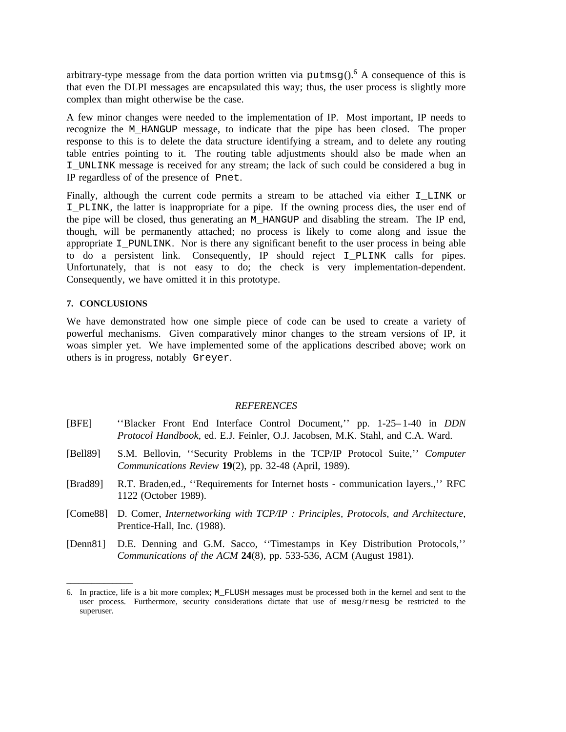arbitrary-type message from the data portion written via putmsq().<sup>6</sup> A consequence of this is that even the DLPI messages are encapsulated this way; thus, the user process is slightly more complex than might otherwise be the case.

A few minor changes were needed to the implementation of IP. Most important, IP needs to recognize the M\_HANGUP message, to indicate that the pipe has been closed. The proper response to this is to delete the data structure identifying a stream, and to delete any routing table entries pointing to it. The routing table adjustments should also be made when an I\_UNLINK message is received for any stream; the lack of such could be considered a bug in IP regardless of of the presence of Pnet.

Finally, although the current code permits a stream to be attached via either I\_LINK or I\_PLINK, the latter is inappropriate for a pipe. If the owning process dies, the user end of the pipe will be closed, thus generating an M\_HANGUP and disabling the stream. The IP end, though, will be permanently attached; no process is likely to come along and issue the appropriate  $I$  PUNLINK. Nor is there any significant benefit to the user process in being able to do a persistent link. Consequently, IP should reject I\_PLINK calls for pipes. Unfortunately, that is not easy to do; the check is very implementation-dependent. Consequently, we have omitted it in this prototype.

#### **7. CONCLUSIONS**

\_\_\_\_\_\_\_\_\_\_\_\_\_\_\_\_

We have demonstrated how one simple piece of code can be used to create a variety of powerful mechanisms. Given comparatively minor changes to the stream versions of IP, it woas simpler yet. We have implemented some of the applications described above; work on others is in progress, notably Greyer.

#### *REFERENCES*

- [BFE] ''Blacker Front End Interface Control Document,'' pp. 1-25– 1-40 in *DDN Protocol Handbook*, ed. E.J. Feinler, O.J. Jacobsen, M.K. Stahl, and C.A. Ward.
- [Bell89] S.M. Bellovin, ''Security Problems in the TCP/IP Protocol Suite,'' *Computer Communications Review* **19**(2), pp. 32-48 (April, 1989).
- [Brad89] R.T. Braden,ed., ''Requirements for Internet hosts communication layers.,'' RFC 1122 (October 1989).
- [Come88] D. Comer, *Internetworking with TCP/IP : Principles, Protocols, and Architecture,* Prentice-Hall, Inc. (1988).
- [Denn81] D.E. Denning and G.M. Sacco, ''Timestamps in Key Distribution Protocols,'' *Communications of the ACM* **24**(8), pp. 533-536, ACM (August 1981).

<sup>6.</sup> In practice, life is a bit more complex; M\_FLUSH messages must be processed both in the kernel and sent to the user process. Furthermore, security considerations dictate that use of mesg/rmesg be restricted to the superuser.